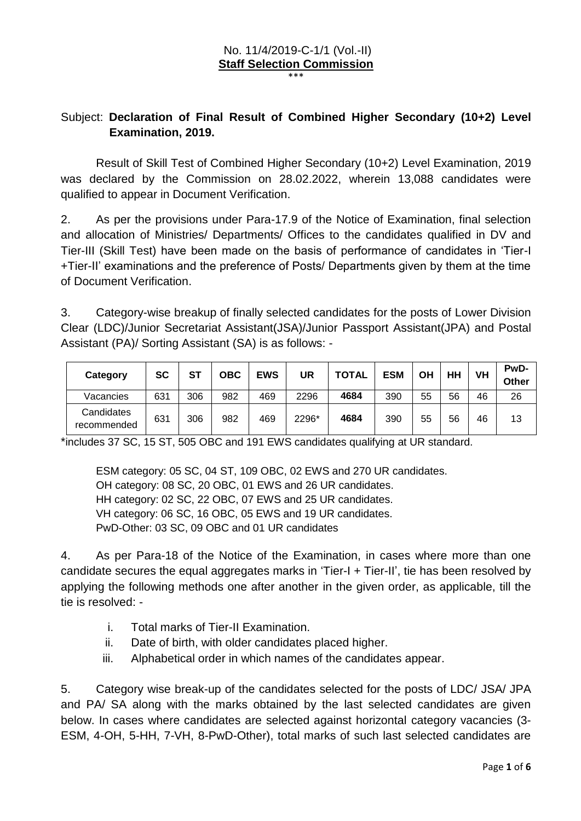## No. 11/4/2019-C-1/1 (Vol.-II) **Staff Selection Commission**

\*\*\*

## Subject: **Declaration of Final Result of Combined Higher Secondary (10+2) Level Examination, 2019.**

Result of Skill Test of Combined Higher Secondary (10+2) Level Examination, 2019 was declared by the Commission on 28.02.2022, wherein 13,088 candidates were qualified to appear in Document Verification.

2. As per the provisions under Para-17.9 of the Notice of Examination, final selection and allocation of Ministries/ Departments/ Offices to the candidates qualified in DV and Tier-III (Skill Test) have been made on the basis of performance of candidates in 'Tier-I +Tier-II' examinations and the preference of Posts/ Departments given by them at the time of Document Verification.

3. Category-wise breakup of finally selected candidates for the posts of Lower Division Clear (LDC)/Junior Secretariat Assistant(JSA)/Junior Passport Assistant(JPA) and Postal Assistant (PA)/ Sorting Assistant (SA) is as follows: -

| Category                  | SC  | ST  | OBC | <b>EWS</b> | UR    | <b>TOTAL</b> | <b>ESM</b> | OН | HH | VH | PwD-<br>Other |
|---------------------------|-----|-----|-----|------------|-------|--------------|------------|----|----|----|---------------|
| Vacancies                 | 631 | 306 | 982 | 469        | 2296  | 4684         | 390        | 55 | 56 | 46 | 26            |
| Candidates<br>recommended | 631 | 306 | 982 | 469        | 2296* | 4684         | 390        | 55 | 56 | 46 | 13            |

\*includes 37 SC, 15 ST, 505 OBC and 191 EWS candidates qualifying at UR standard.

ESM category: 05 SC, 04 ST, 109 OBC, 02 EWS and 270 UR candidates. OH category: 08 SC, 20 OBC, 01 EWS and 26 UR candidates. HH category: 02 SC, 22 OBC, 07 EWS and 25 UR candidates. VH category: 06 SC, 16 OBC, 05 EWS and 19 UR candidates. PwD-Other: 03 SC, 09 OBC and 01 UR candidates

4. As per Para-18 of the Notice of the Examination, in cases where more than one candidate secures the equal aggregates marks in 'Tier-I + Tier-II', tie has been resolved by applying the following methods one after another in the given order, as applicable, till the tie is resolved: -

- i. Total marks of Tier-II Examination.
- ii. Date of birth, with older candidates placed higher.
- iii. Alphabetical order in which names of the candidates appear.

5. Category wise break-up of the candidates selected for the posts of LDC/ JSA/ JPA and PA/ SA along with the marks obtained by the last selected candidates are given below. In cases where candidates are selected against horizontal category vacancies (3- ESM, 4-OH, 5-HH, 7-VH, 8-PwD-Other), total marks of such last selected candidates are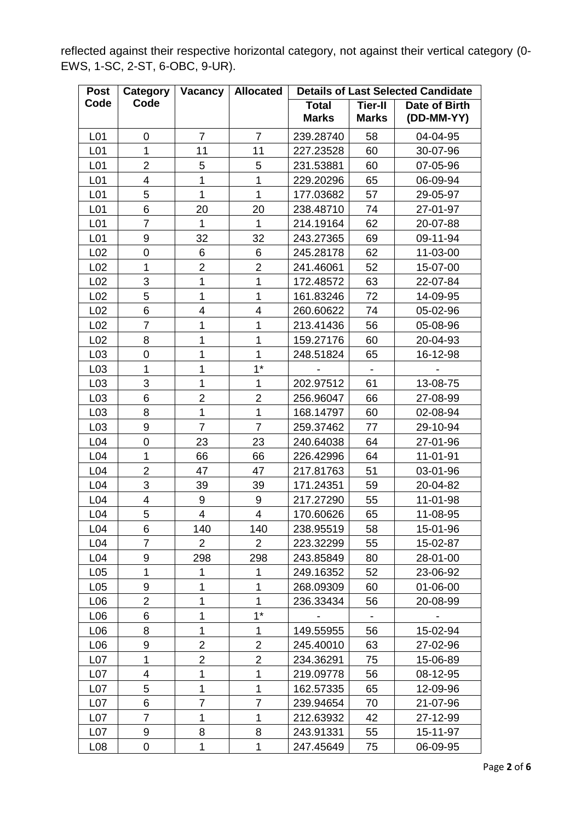reflected against their respective horizontal category, not against their vertical category (0- EWS, 1-SC, 2-ST, 6-OBC, 9-UR).

| <b>Post</b>     | Category<br>Allocated<br>Vacancy |                         | <b>Details of Last Selected Candidate</b> |                              |                                |                             |
|-----------------|----------------------------------|-------------------------|-------------------------------------------|------------------------------|--------------------------------|-----------------------------|
| Code            | Code                             |                         |                                           | <b>Total</b><br><b>Marks</b> | <b>Tier-II</b><br><b>Marks</b> | Date of Birth<br>(DD-MM-YY) |
| L01             | $\overline{7}$<br>$\mathbf 0$    |                         | $\overline{7}$                            | 239.28740                    | 58                             | 04-04-95                    |
| L <sub>01</sub> | $\mathbf{1}$<br>11               |                         | 11                                        | 227.23528                    | 60                             | 30-07-96                    |
| L <sub>01</sub> | $\overline{2}$                   | 5                       | 5                                         | 231.53881                    | 60                             | 07-05-96                    |
| L <sub>01</sub> | $\overline{\mathbf{4}}$          | $\overline{1}$          | 1                                         | 229.20296                    | 65                             | 06-09-94                    |
| L <sub>01</sub> | 5                                | $\mathbf{1}$            | 1                                         | 177.03682                    | 57                             | 29-05-97                    |
| L01             | 6                                | 20                      | 20                                        | 238.48710                    | 74                             | 27-01-97                    |
| L <sub>01</sub> | $\overline{7}$                   | $\mathbf{1}$            | $\mathbf{1}$                              | 214.19164                    | 62                             | 20-07-88                    |
| L <sub>01</sub> | 9                                | 32                      | 32                                        | 243.27365                    | 69                             | 09-11-94                    |
| L <sub>02</sub> | $\mathbf 0$                      | 6                       | 6                                         | 245.28178                    | 62                             | 11-03-00                    |
| L <sub>02</sub> | $\mathbf{1}$                     | $\overline{2}$          | $\overline{2}$                            | 241.46061                    | 52                             | 15-07-00                    |
| L <sub>02</sub> | 3                                | $\mathbf{1}$            | 1                                         | 172.48572                    | 63                             | 22-07-84                    |
| L <sub>02</sub> | 5                                | $\overline{1}$          | 1                                         | 161.83246                    | 72                             | 14-09-95                    |
| L <sub>02</sub> | 6                                | 4                       | 4                                         | 260.60622                    | 74                             | 05-02-96                    |
| L <sub>02</sub> | $\overline{7}$                   | 1                       | 1                                         | 213.41436                    | 56                             | 05-08-96                    |
| L <sub>02</sub> | 8                                | $\mathbf{1}$            | 1                                         | 159.27176                    | 60                             | 20-04-93                    |
| L <sub>03</sub> | 0                                | 1                       | 1                                         | 248.51824                    | 65                             | 16-12-98                    |
| L <sub>03</sub> | $\mathbf{1}$                     | $\mathbf{1}$            | $1^*$                                     |                              | $\overline{\phantom{a}}$       |                             |
| L <sub>03</sub> | 3                                | $\mathbf{1}$            | 1                                         | 202.97512                    | 61                             | 13-08-75                    |
| L <sub>03</sub> | 6                                | $\overline{2}$          | $\overline{2}$                            | 256.96047                    | 66                             | 27-08-99                    |
| L <sub>03</sub> | 8                                | $\mathbf{1}$            | 1                                         | 168.14797                    | 60                             | 02-08-94                    |
| L <sub>03</sub> | 9                                | $\overline{7}$          | $\overline{7}$                            | 259.37462                    | 77                             | 29-10-94                    |
| L <sub>04</sub> | $\pmb{0}$                        | 23                      | 23                                        | 240.64038                    | 64                             | 27-01-96                    |
| L <sub>04</sub> | $\mathbf{1}$                     | 66                      | 66                                        | 226.42996                    | 64                             | 11-01-91                    |
| L <sub>04</sub> | $\overline{2}$                   | 47                      | 47                                        | 217.81763                    | 51                             | 03-01-96                    |
| L <sub>04</sub> | 3                                | 39                      | 39                                        | 171.24351                    | 59                             | 20-04-82                    |
| L <sub>04</sub> | $\overline{\mathbf{4}}$          | 9                       | 9                                         | 217.27290                    | 55                             | 11-01-98                    |
| L <sub>04</sub> | 5                                | $\overline{\mathbf{4}}$ | 4                                         | 170.60626                    | 65                             | 11-08-95                    |
| L <sub>04</sub> | 6                                | 140                     | 140                                       | 238.95519                    | 58                             | 15-01-96                    |
| L <sub>04</sub> | 7                                | 2                       | $\mathbf{2}^{\prime}$                     | 223.32299                    | 55                             | 15-02-87                    |
| L <sub>04</sub> | 9                                | 298                     | 298                                       | 243.85849                    | 80                             | 28-01-00                    |
| L <sub>05</sub> | $\mathbf{1}$                     | 1                       | 1                                         | 249.16352                    | 52                             | 23-06-92                    |
| L <sub>05</sub> | 9                                | 1                       | 1                                         | 268.09309                    | 60                             | 01-06-00                    |
| L <sub>06</sub> | $\overline{2}$                   | 1                       | 1                                         | 236.33434                    | 56                             | 20-08-99                    |
| L06             | 6                                | 1                       | $1*$                                      |                              |                                |                             |
| L06             | 8                                | $\overline{1}$          | 1                                         | 149.55955                    | 56                             | 15-02-94                    |
| L06             | 9                                | $\overline{2}$          | $\overline{2}$                            | 245.40010                    | 63                             | 27-02-96                    |
| L07             | 1                                | $\overline{2}$          | $\overline{2}$                            | 234.36291                    | 75                             | 15-06-89                    |
| L07             | 4                                | 1                       | 1                                         | 219.09778                    | 56                             | 08-12-95                    |
| L <sub>07</sub> | 5                                | 1                       | 1                                         | 162.57335                    | 65                             | 12-09-96                    |
| L <sub>07</sub> | 6                                | $\overline{7}$          | 7                                         | 239.94654                    | 70                             | 21-07-96                    |
| L <sub>07</sub> | $\overline{7}$                   | 1                       | 1                                         | 212.63932                    | 42                             | 27-12-99                    |
| L <sub>07</sub> | 9                                | 8                       | 8                                         | 243.91331                    | 55                             | 15-11-97                    |
| L <sub>08</sub> | 0                                | $\mathbf{1}$            | 1                                         | 247.45649                    | 75                             | 06-09-95                    |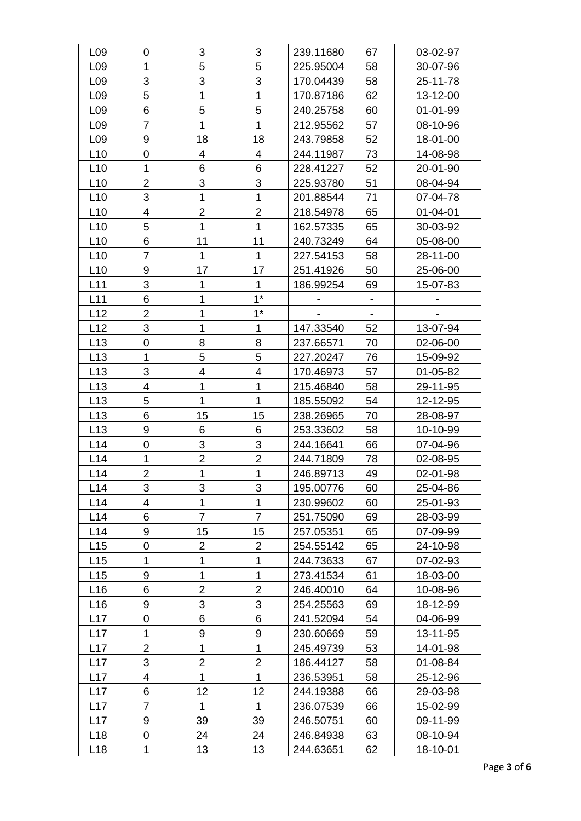| L <sub>09</sub> | $\mathbf 0$             | 3                        | 3              | 239.11680 | 67                       | 03-02-97       |
|-----------------|-------------------------|--------------------------|----------------|-----------|--------------------------|----------------|
| L <sub>09</sub> | 5<br>5<br>$\mathbf{1}$  |                          |                | 225.95004 | 58                       | 30-07-96       |
| L <sub>09</sub> | 3<br>3                  |                          | 3              | 170.04439 | 58                       | 25-11-78       |
| L <sub>09</sub> | 5<br>$\mathbf 1$        |                          | $\mathbf 1$    | 170.87186 | 62                       | 13-12-00       |
| L <sub>09</sub> | 5<br>6                  |                          | 5              | 240.25758 | 60                       | $01 - 01 - 99$ |
| L <sub>09</sub> | $\overline{7}$          | 1                        | 1              | 212.95562 | 57                       | 08-10-96       |
| L <sub>09</sub> | 9                       | 18                       | 18             | 243.79858 | 52                       | 18-01-00       |
| L10             | $\pmb{0}$               | $\overline{\mathbf{4}}$  | 4              | 244.11987 | 73                       | 14-08-98       |
| L10             | $\mathbf{1}$            | 6                        | 6              | 228.41227 | 52                       | 20-01-90       |
| L10             | $\overline{2}$          | 3                        | 3              | 225.93780 | 51                       | 08-04-94       |
| L10             | 3                       | $\mathbf{1}$             | $\mathbf{1}$   | 201.88544 | 71                       | 07-04-78       |
| L10             | $\overline{\mathbf{4}}$ | $\overline{2}$           | $\overline{2}$ | 218.54978 | 65                       | $01 - 04 - 01$ |
| L10             | 5                       | $\mathbf{1}$             | $\mathbf{1}$   | 162.57335 | 65                       | 30-03-92       |
| L10             | 6                       | 11                       | 11             | 240.73249 | 64                       | 05-08-00       |
| L10             | $\overline{7}$          | $\mathbf{1}$             | $\mathbf{1}$   | 227.54153 | 58                       | 28-11-00       |
| L10             | $\boldsymbol{9}$        | 17                       | 17             | 251.41926 | 50                       | 25-06-00       |
| L11             | 3                       | $\mathbf{1}$             | $\mathbf{1}$   | 186.99254 | 69                       | 15-07-83       |
| L11             | 6                       | 1                        | $1^*$          |           | $\overline{\phantom{a}}$ |                |
| L12             | $\overline{2}$          | 1                        | $1^*$          |           | $\overline{\phantom{a}}$ |                |
| L12             | $\mathfrak{B}$          | 1                        | $\mathbf{1}$   | 147.33540 | 52                       | 13-07-94       |
| L13             | $\mathbf 0$             | 8                        | 8              | 237.66571 | 70                       | 02-06-00       |
| L13             | $\mathbf{1}$            | 5                        | 5              | 227.20247 | 76                       | 15-09-92       |
| L13             | 3                       | $\overline{\mathcal{A}}$ | 4              | 170.46973 | 57                       | 01-05-82       |
| L13             | 4                       | $\mathbf{1}$             | 1              | 215.46840 | 58                       | 29-11-95       |
| L13             | 5                       | $\mathbf{1}$             | $\mathbf{1}$   | 185.55092 | 54                       | 12-12-95       |
| L13             | 6                       | 15                       | 15             | 238.26965 | 70                       | 28-08-97       |
| L13             | 9                       | 6                        | 6              | 253.33602 | 58                       | 10-10-99       |
| L14             | $\mathbf 0$             | 3                        | 3              | 244.16641 | 66                       | 07-04-96       |
| L14             | 1                       | $\overline{2}$           | $\overline{2}$ | 244.71809 | 78                       | 02-08-95       |
| L14             | $\overline{2}$          | 1                        | 1              | 246.89713 | 49                       | 02-01-98       |
| L14             | 3                       | 3                        | 3              | 195.00776 | 60                       | 25-04-86       |
| L14             | $\overline{4}$          | 1                        | $\mathbf{1}$   | 230.99602 | 60                       | 25-01-93       |
| L14             | 6                       | $\overline{7}$           | $\overline{7}$ | 251.75090 | 69                       | 28-03-99       |
| L14             | 9                       | 15                       | 15             | 257.05351 | 65                       | 07-09-99       |
| L15             | 0                       | $\overline{2}$           | $\overline{2}$ | 254.55142 | 65                       | 24-10-98       |
| L15             | 1                       | 1                        | 1              | 244.73633 | 67                       | 07-02-93       |
| L15             | 9                       | 1                        | $\mathbf 1$    | 273.41534 | 61                       | 18-03-00       |
| L16             | 6                       | $\overline{2}$           | $\overline{2}$ | 246.40010 | 64                       | 10-08-96       |
| L16             | 9                       | 3                        | 3              | 254.25563 | 69                       | 18-12-99       |
| L17             | $\mathbf 0$             | 6                        | 6              | 241.52094 | 54                       | 04-06-99       |
| L17             | 1                       | $\boldsymbol{9}$         | 9              | 230.60669 | 59                       | 13-11-95       |
| L17             | $\overline{2}$          | $\mathbf 1$              | 1              | 245.49739 | 53                       | 14-01-98       |
| L17             | 3                       | $\overline{2}$           | $\overline{2}$ | 186.44127 | 58                       | 01-08-84       |
| L17             | 4                       | 1                        | 1              | 236.53951 | 58                       | 25-12-96       |
| L17             | 6                       | 12                       | 12             | 244.19388 | 66                       | 29-03-98       |
| L17             | $\overline{7}$          | 1                        | 1              | 236.07539 | 66                       | 15-02-99       |
| L17             | 9                       | 39                       | 39             | 246.50751 | 60                       | 09-11-99       |
| L18             | 0                       | 24                       | 24             | 246.84938 | 63                       | 08-10-94       |
| L18             | 1                       | 13                       | 13             | 244.63651 | 62                       | 18-10-01       |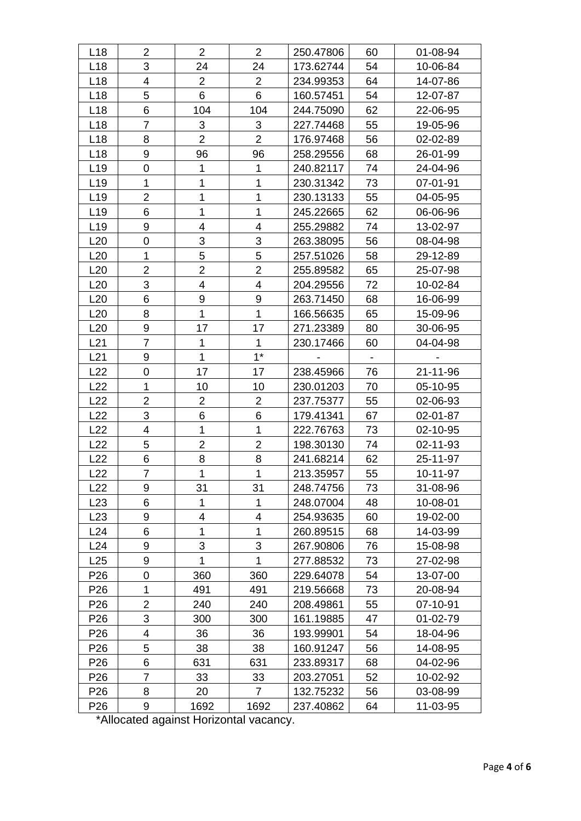| L18             | $\overline{2}$           | $\overline{2}$            | $\overline{2}$          | 250.47806 | 60 | 01-08-94 |
|-----------------|--------------------------|---------------------------|-------------------------|-----------|----|----------|
| L <sub>18</sub> | 3                        | 24                        | 24                      | 173.62744 | 54 | 10-06-84 |
| L <sub>18</sub> | $\overline{2}$<br>4      |                           | $\overline{2}$          | 234.99353 | 64 | 14-07-86 |
| L <sub>18</sub> | 5                        | 6                         | 6                       | 160.57451 | 54 | 12-07-87 |
| L18             | 6                        | 104                       | 104                     | 244.75090 | 62 | 22-06-95 |
| L <sub>18</sub> | $\overline{7}$           | 3                         | 3                       | 227.74468 | 55 | 19-05-96 |
| L <sub>18</sub> | 8                        | $\overline{2}$            | $\overline{2}$          | 176.97468 | 56 | 02-02-89 |
| L18             | 9                        | 96                        | 96                      | 258.29556 | 68 | 26-01-99 |
| L <sub>19</sub> | $\mathbf 0$              | 1                         | $\mathbf{1}$            | 240.82117 | 74 | 24-04-96 |
| L <sub>19</sub> | 1                        | 1                         | 1                       | 230.31342 | 73 | 07-01-91 |
| L <sub>19</sub> | $\overline{2}$           | 1                         | $\overline{1}$          | 230.13133 | 55 | 04-05-95 |
| L <sub>19</sub> | 6                        | $\overline{1}$            | $\mathbf 1$             | 245.22665 | 62 | 06-06-96 |
| L <sub>19</sub> | 9                        | 4                         | 4                       | 255.29882 | 74 | 13-02-97 |
| L20             | $\pmb{0}$                | $\ensuremath{\mathsf{3}}$ | 3                       | 263.38095 | 56 | 08-04-98 |
| L20             | $\mathbf{1}$             | 5                         | 5                       | 257.51026 | 58 | 29-12-89 |
| L20             | $\overline{c}$           | $\overline{2}$            | $\overline{2}$          | 255.89582 | 65 | 25-07-98 |
| L20             | 3                        | $\overline{\mathcal{A}}$  | 4                       | 204.29556 | 72 | 10-02-84 |
| L20             | 6                        | $\boldsymbol{9}$          | 9                       | 263.71450 | 68 | 16-06-99 |
| L20             | 8                        | $\mathbf{1}$              | $\mathbf{1}$            | 166.56635 | 65 | 15-09-96 |
| L20             | $\boldsymbol{9}$         | 17                        | 17                      | 271.23389 | 80 | 30-06-95 |
| L21             | $\overline{7}$           | 1                         | 1                       | 230.17466 | 60 | 04-04-98 |
| L21             | 9                        | 1                         | $1^*$                   |           |    |          |
| L22             | $\overline{0}$           | 17                        | 17                      | 238.45966 | 76 | 21-11-96 |
| L22             | 1                        | 10                        | 10                      | 230.01203 | 70 | 05-10-95 |
| L22             | $\overline{2}$           | $\overline{2}$            | $\overline{2}$          | 237.75377 | 55 | 02-06-93 |
| L22             | 3                        | 6                         | 6                       | 179.41341 | 67 | 02-01-87 |
| L22             | 4                        | 1                         | $\mathbf{1}$            | 222.76763 | 73 | 02-10-95 |
| L22             | 5                        | $\overline{2}$            | $\overline{2}$          | 198.30130 | 74 | 02-11-93 |
| L22             | 6                        | 8                         | 8                       | 241.68214 | 62 | 25-11-97 |
| L22             | $\overline{7}$           | 1                         | $\mathbf{1}$            | 213.35957 | 55 | 10-11-97 |
| L22             | 9                        | 31                        | 31                      | 248.74756 | 73 | 31-08-96 |
| L23             | 6                        | 1                         | $\mathbf{1}$            | 248.07004 | 48 | 10-08-01 |
| L23             | 9                        | $\overline{4}$            | $\overline{\mathbf{4}}$ | 254.93635 | 60 | 19-02-00 |
| L24             | 6                        | 1                         | 1                       | 260.89515 | 68 | 14-03-99 |
| L24             | 9                        | 3                         | 3                       | 267.90806 | 76 | 15-08-98 |
| L25             | 9                        | 1                         | 1                       | 277.88532 | 73 | 27-02-98 |
| P <sub>26</sub> | 0                        | 360                       | 360                     | 229.64078 | 54 | 13-07-00 |
| P <sub>26</sub> | 1                        | 491                       | 491                     | 219.56668 | 73 | 20-08-94 |
| P <sub>26</sub> | $\overline{2}$           | 240                       | 240                     | 208.49861 | 55 | 07-10-91 |
| P <sub>26</sub> | 3                        | 300                       | 300                     | 161.19885 | 47 | 01-02-79 |
| P <sub>26</sub> | $\overline{\mathcal{A}}$ | 36                        | 36                      | 193.99901 | 54 | 18-04-96 |
| P <sub>26</sub> | 5                        | 38                        | 38                      | 160.91247 | 56 | 14-08-95 |
| P <sub>26</sub> | 6                        | 631                       | 631                     | 233.89317 | 68 | 04-02-96 |
| P <sub>26</sub> | $\overline{7}$           | 33                        | 33                      | 203.27051 | 52 | 10-02-92 |
| P <sub>26</sub> | 8                        | 20                        | $\overline{7}$          | 132.75232 | 56 | 03-08-99 |
| P <sub>26</sub> | 9                        | 1692                      | 1692                    | 237.40862 | 64 | 11-03-95 |

\*Allocated against Horizontal vacancy.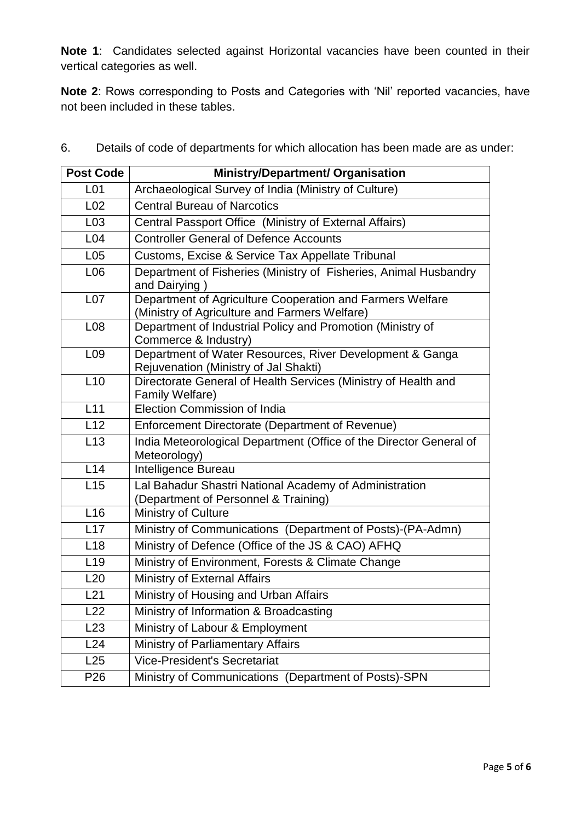**Note 1**: Candidates selected against Horizontal vacancies have been counted in their vertical categories as well.

**Note 2**: Rows corresponding to Posts and Categories with 'Nil' reported vacancies, have not been included in these tables.

| <b>Post Code</b>                                                                                                              | <b>Ministry/Department/ Organisation</b>                                                          |  |  |  |  |  |  |  |
|-------------------------------------------------------------------------------------------------------------------------------|---------------------------------------------------------------------------------------------------|--|--|--|--|--|--|--|
| L <sub>01</sub>                                                                                                               | Archaeological Survey of India (Ministry of Culture)                                              |  |  |  |  |  |  |  |
| L <sub>02</sub>                                                                                                               | <b>Central Bureau of Narcotics</b>                                                                |  |  |  |  |  |  |  |
| L <sub>03</sub>                                                                                                               | Central Passport Office (Ministry of External Affairs)                                            |  |  |  |  |  |  |  |
| L <sub>04</sub>                                                                                                               | <b>Controller General of Defence Accounts</b>                                                     |  |  |  |  |  |  |  |
| L <sub>05</sub>                                                                                                               | Customs, Excise & Service Tax Appellate Tribunal                                                  |  |  |  |  |  |  |  |
| Department of Fisheries (Ministry of Fisheries, Animal Husbandry<br>L06<br>and Dairying                                       |                                                                                                   |  |  |  |  |  |  |  |
| Department of Agriculture Cooperation and Farmers Welfare<br>L <sub>07</sub><br>(Ministry of Agriculture and Farmers Welfare) |                                                                                                   |  |  |  |  |  |  |  |
| L <sub>08</sub>                                                                                                               | Department of Industrial Policy and Promotion (Ministry of<br>Commerce & Industry)                |  |  |  |  |  |  |  |
| L <sub>09</sub>                                                                                                               | Department of Water Resources, River Development & Ganga<br>Rejuvenation (Ministry of Jal Shakti) |  |  |  |  |  |  |  |
| L10                                                                                                                           | Directorate General of Health Services (Ministry of Health and<br>Family Welfare)                 |  |  |  |  |  |  |  |
| L11                                                                                                                           | Election Commission of India                                                                      |  |  |  |  |  |  |  |
| L12                                                                                                                           | Enforcement Directorate (Department of Revenue)                                                   |  |  |  |  |  |  |  |
| L13                                                                                                                           | India Meteorological Department (Office of the Director General of<br>Meteorology)                |  |  |  |  |  |  |  |
| L14                                                                                                                           | Intelligence Bureau                                                                               |  |  |  |  |  |  |  |
| L15                                                                                                                           | Lal Bahadur Shastri National Academy of Administration<br>(Department of Personnel & Training)    |  |  |  |  |  |  |  |
| L <sub>16</sub>                                                                                                               | Ministry of Culture                                                                               |  |  |  |  |  |  |  |
| L17                                                                                                                           | Ministry of Communications (Department of Posts)-(PA-Admn)                                        |  |  |  |  |  |  |  |
| L <sub>18</sub>                                                                                                               | Ministry of Defence (Office of the JS & CAO) AFHQ                                                 |  |  |  |  |  |  |  |
| L <sub>19</sub>                                                                                                               | Ministry of Environment, Forests & Climate Change                                                 |  |  |  |  |  |  |  |
| L20                                                                                                                           | Ministry of External Affairs                                                                      |  |  |  |  |  |  |  |
| L21                                                                                                                           | Ministry of Housing and Urban Affairs                                                             |  |  |  |  |  |  |  |
| L22                                                                                                                           | Ministry of Information & Broadcasting                                                            |  |  |  |  |  |  |  |
| L23                                                                                                                           | Ministry of Labour & Employment                                                                   |  |  |  |  |  |  |  |
| L24                                                                                                                           | Ministry of Parliamentary Affairs                                                                 |  |  |  |  |  |  |  |
| L25                                                                                                                           | Vice-President's Secretariat                                                                      |  |  |  |  |  |  |  |
| P <sub>26</sub>                                                                                                               | Ministry of Communications (Department of Posts)-SPN                                              |  |  |  |  |  |  |  |

6. Details of code of departments for which allocation has been made are as under: